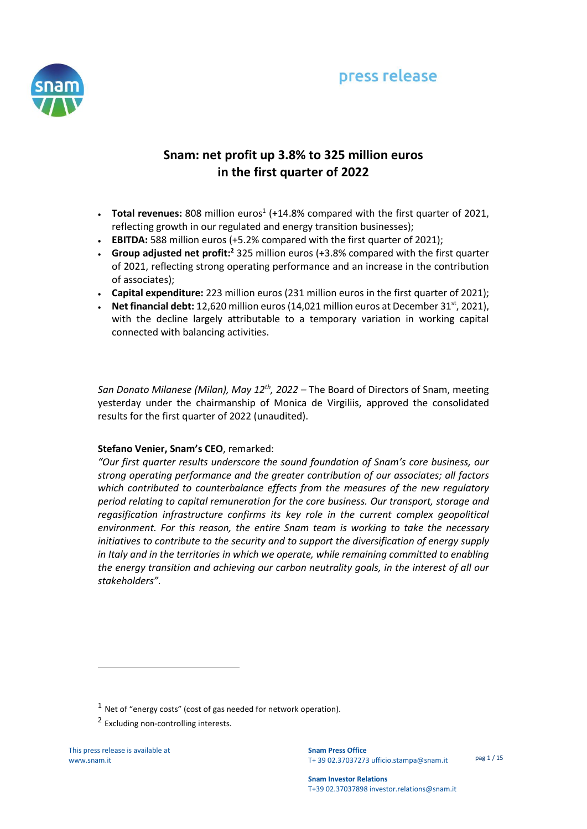



# **Snam: net profit up 3.8% to 325 million euros in the first quarter of 2022**

- Total revenues: 808 million euros<sup>1</sup> (+14.8% compared with the first quarter of 2021, reflecting growth in our regulated and energy transition businesses);
- **EBITDA:** 588 million euros (+5.2% compared with the first quarter of 2021);
- **Group adjusted net profit:<sup>2</sup>** 325 million euros (+3.8% compared with the first quarter of 2021, reflecting strong operating performance and an increase in the contribution of associates);
- **Capital expenditure:** 223 million euros (231 million euros in the first quarter of 2021);
- $\bullet$  **Net financial debt:** 12,620 million euros (14,021 million euros at December 31<sup>st</sup>, 2021), with the decline largely attributable to a temporary variation in working capital connected with balancing activities.

*San Donato Milanese (Milan), May 12th , 2022 –* The Board of Directors of Snam, meeting yesterday under the chairmanship of Monica de Virgiliis, approved the consolidated results for the first quarter of 2022 (unaudited).

## **Stefano Venier, Snam's CEO**, remarked:

*"Our first quarter results underscore the sound foundation of Snam's core business, our strong operating performance and the greater contribution of our associates; all factors which contributed to counterbalance effects from the measures of the new regulatory period relating to capital remuneration for the core business. Our transport, storage and regasification infrastructure confirms its key role in the current complex geopolitical environment. For this reason, the entire Snam team is working to take the necessary initiatives to contribute to the security and to support the diversification of energy supply in Italy and in the territories in which we operate, while remaining committed to enabling the energy transition and achieving our carbon neutrality goals, in the interest of all our stakeholders".*

This press release is available at www.snam.it

 $\overline{a}$ 

**Snam Press Office**  T+ 39 02.37037273 ufficio.stampa@snam.it

 $1$  Net of "energy costs" (cost of gas needed for network operation).

<sup>&</sup>lt;sup>2</sup> Excluding non-controlling interests.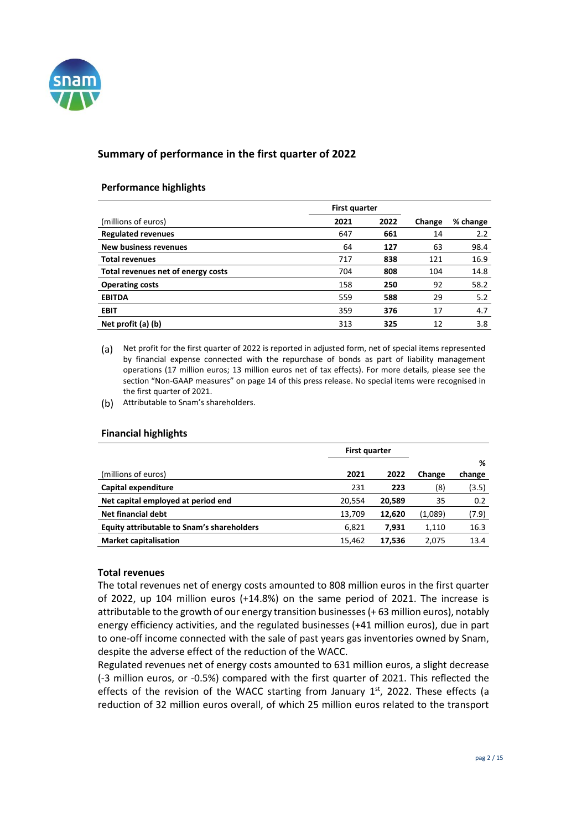

# **Summary of performance in the first quarter of 2022**

#### **Performance highlights**

|                                    | <b>First quarter</b> |      |        |          |
|------------------------------------|----------------------|------|--------|----------|
| (millions of euros)                | 2021                 | 2022 | Change | % change |
| <b>Regulated revenues</b>          | 647                  | 661  | 14     | 2.2      |
| <b>New business revenues</b>       | 64                   | 127  | 63     | 98.4     |
| <b>Total revenues</b>              | 717                  | 838  | 121    | 16.9     |
| Total revenues net of energy costs | 704                  | 808  | 104    | 14.8     |
| <b>Operating costs</b>             | 158                  | 250  | 92     | 58.2     |
| <b>EBITDA</b>                      | 559                  | 588  | 29     | 5.2      |
| <b>EBIT</b>                        | 359                  | 376  | 17     | 4.7      |
| Net profit (a) (b)                 | 313                  | 325  | 12     | 3.8      |

(a) Net profit for the first quarter of 2022 is reported in adjusted form, net of special items represented by financial expense connected with the repurchase of bonds as part of liability management operations (17 million euros; 13 million euros net of tax effects). For more details, please see the section "Non-GAAP measures" on page 14 of this press release. No special items were recognised in the first quarter of 2021.

(b) Attributable to Snam's shareholders.

#### **Financial highlights**

|                                                   | <b>First quarter</b> |        |         |        |
|---------------------------------------------------|----------------------|--------|---------|--------|
|                                                   |                      |        |         | %      |
| (millions of euros)                               | 2021                 | 2022   | Change  | change |
| Capital expenditure                               | 231                  | 223    | (8)     | (3.5)  |
| Net capital employed at period end                | 20,554               | 20.589 | 35      | 0.2    |
| Net financial debt                                | 13,709               | 12.620 | (1,089) | (7.9)  |
| <b>Equity attributable to Snam's shareholders</b> | 6.821                | 7.931  | 1,110   | 16.3   |
| <b>Market capitalisation</b>                      | 15,462               | 17,536 | 2,075   | 13.4   |

#### **Total revenues**

The total revenues net of energy costs amounted to 808 million euros in the first quarter of 2022, up 104 million euros (+14.8%) on the same period of 2021. The increase is attributable to the growth of our energy transition businesses (+ 63 million euros), notably energy efficiency activities, and the regulated businesses (+41 million euros), due in part to one-off income connected with the sale of past years gas inventories owned by Snam, despite the adverse effect of the reduction of the WACC.

Regulated revenues net of energy costs amounted to 631 million euros, a slight decrease (-3 million euros, or -0.5%) compared with the first quarter of 2021. This reflected the effects of the revision of the WACC starting from January  $1<sup>st</sup>$ , 2022. These effects (a reduction of 32 million euros overall, of which 25 million euros related to the transport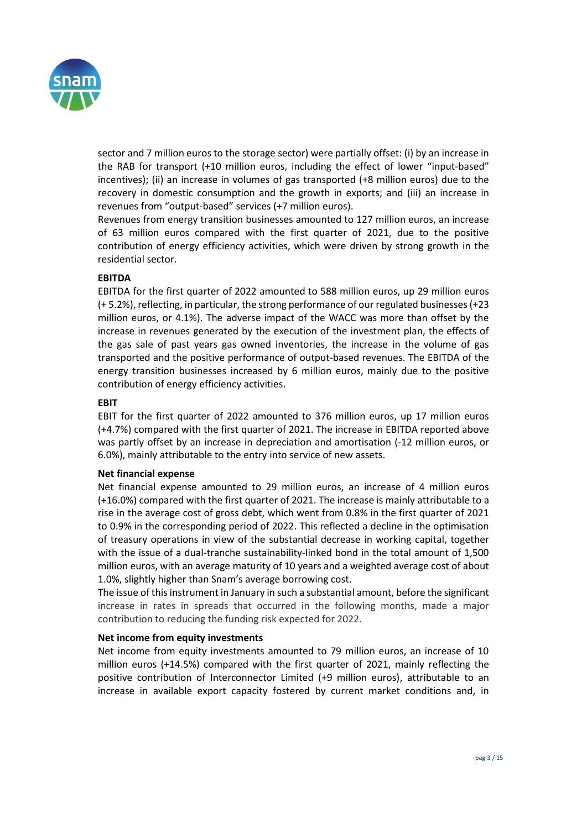

sector and 7 million euros to the storage sector) were partially offset: (i) by an increase in the RAB for transport (+10 million euros, including the effect of lower "input-based" incentives); (ii) an increase in volumes of gas transported (+8 million euros) due to the recovery in domestic consumption and the growth in exports; and (iii) an increase in revenues from "output-based" services (+7 million euros).

Revenues from energy transition businesses amounted to 127 million euros, an increase of 63 million euros compared with the first quarter of 2021, due to the positive contribution of energy efficiency activities, which were driven by strong growth in the residential sector.

# **EBITDA**

EBITDA for the first quarter of 2022 amounted to 588 million euros, up 29 million euros (+ 5.2%), reflecting, in particular, the strong performance of our regulated businesses(+23 million euros, or 4.1%). The adverse impact of the WACC was more than offset by the increase in revenues generated by the execution of the investment plan, the effects of the gas sale of past years gas owned inventories, the increase in the volume of gas transported and the positive performance of output-based revenues. The EBITDA of the energy transition businesses increased by 6 million euros, mainly due to the positive contribution of energy efficiency activities.

## **EBIT**

EBIT for the first quarter of 2022 amounted to 376 million euros, up 17 million euros (+4.7%) compared with the first quarter of 2021. The increase in EBITDA reported above was partly offset by an increase in depreciation and amortisation (-12 million euros, or 6.0%), mainly attributable to the entry into service of new assets.

## **Net financial expense**

Net financial expense amounted to 29 million euros, an increase of 4 million euros (+16.0%) compared with the first quarter of 2021. The increase is mainly attributable to a rise in the average cost of gross debt, which went from 0.8% in the first quarter of 2021 to 0.9% in the corresponding period of 2022. This reflected a decline in the optimisation of treasury operations in view of the substantial decrease in working capital, together with the issue of a dual-tranche sustainability-linked bond in the total amount of 1,500 million euros, with an average maturity of 10 years and a weighted average cost of about 1.0%, slightly higher than Snam's average borrowing cost.

The issue of this instrument in January in such a substantial amount, before the significant increase in rates in spreads that occurred in the following months, made a major contribution to reducing the funding risk expected for 2022.

## **Net income from equity investments**

Net income from equity investments amounted to 79 million euros, an increase of 10 million euros (+14.5%) compared with the first quarter of 2021, mainly reflecting the positive contribution of Interconnector Limited (+9 million euros), attributable to an increase in available export capacity fostered by current market conditions and, in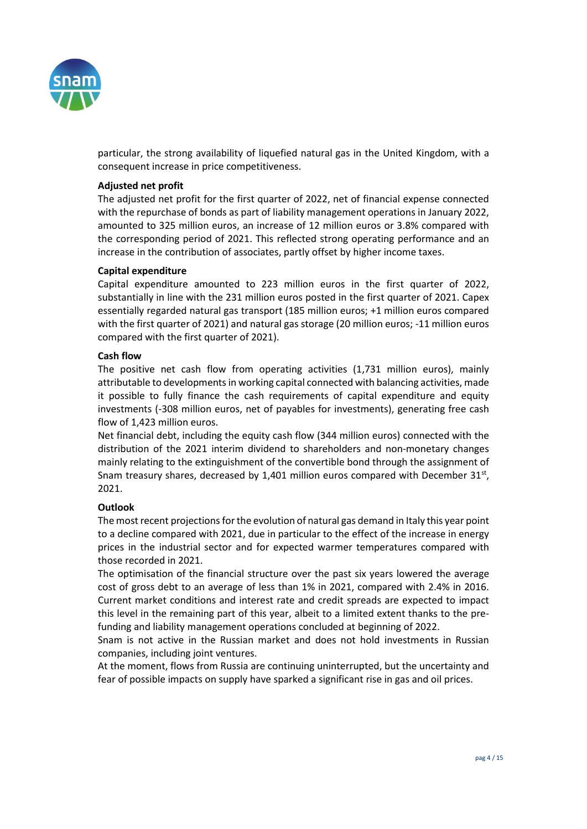

particular, the strong availability of liquefied natural gas in the United Kingdom, with a consequent increase in price competitiveness.

#### **Adjusted net profit**

The adjusted net profit for the first quarter of 2022, net of financial expense connected with the repurchase of bonds as part of liability management operations in January 2022, amounted to 325 million euros, an increase of 12 million euros or 3.8% compared with the corresponding period of 2021. This reflected strong operating performance and an increase in the contribution of associates, partly offset by higher income taxes.

#### **Capital expenditure**

Capital expenditure amounted to 223 million euros in the first quarter of 2022, substantially in line with the 231 million euros posted in the first quarter of 2021. Capex essentially regarded natural gas transport (185 million euros; +1 million euros compared with the first quarter of 2021) and natural gas storage (20 million euros; -11 million euros compared with the first quarter of 2021).

#### **Cash flow**

The positive net cash flow from operating activities (1,731 million euros), mainly attributable to developments in working capital connected with balancing activities, made it possible to fully finance the cash requirements of capital expenditure and equity investments (-308 million euros, net of payables for investments), generating free cash flow of 1,423 million euros.

Net financial debt, including the equity cash flow (344 million euros) connected with the distribution of the 2021 interim dividend to shareholders and non-monetary changes mainly relating to the extinguishment of the convertible bond through the assignment of Snam treasury shares, decreased by 1,401 million euros compared with December  $31<sup>st</sup>$ , 2021.

## **Outlook**

The most recent projections for the evolution of natural gas demand in Italy this year point to a decline compared with 2021, due in particular to the effect of the increase in energy prices in the industrial sector and for expected warmer temperatures compared with those recorded in 2021.

The optimisation of the financial structure over the past six years lowered the average cost of gross debt to an average of less than 1% in 2021, compared with 2.4% in 2016. Current market conditions and interest rate and credit spreads are expected to impact this level in the remaining part of this year, albeit to a limited extent thanks to the prefunding and liability management operations concluded at beginning of 2022.

Snam is not active in the Russian market and does not hold investments in Russian companies, including joint ventures.

At the moment, flows from Russia are continuing uninterrupted, but the uncertainty and fear of possible impacts on supply have sparked a significant rise in gas and oil prices.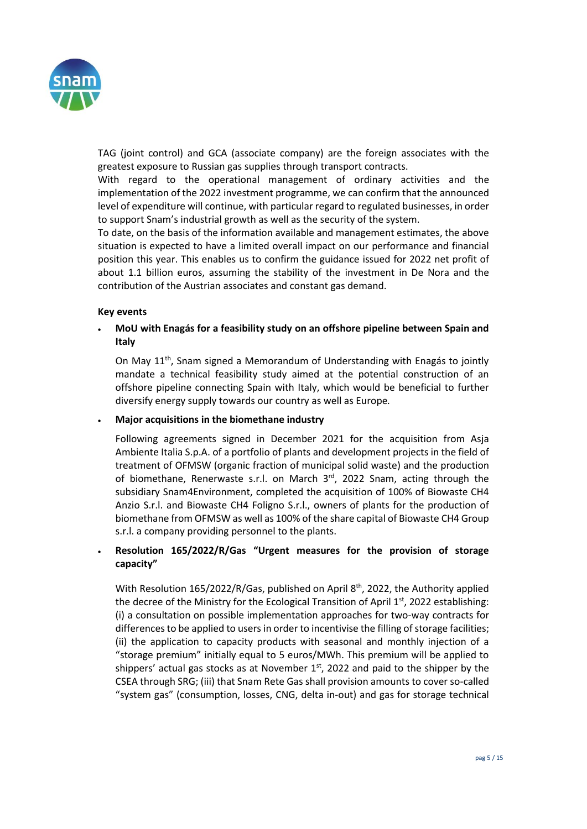

TAG (joint control) and GCA (associate company) are the foreign associates with the greatest exposure to Russian gas supplies through transport contracts.

With regard to the operational management of ordinary activities and the implementation of the 2022 investment programme, we can confirm that the announced level of expenditure will continue, with particular regard to regulated businesses, in order to support Snam's industrial growth as well as the security of the system.

To date, on the basis of the information available and management estimates, the above situation is expected to have a limited overall impact on our performance and financial position this year. This enables us to confirm the guidance issued for 2022 net profit of about 1.1 billion euros, assuming the stability of the investment in De Nora and the contribution of the Austrian associates and constant gas demand.

#### **Key events**

# • **MoU with Enagás for a feasibility study on an offshore pipeline between Spain and Italy**

On May 11<sup>th</sup>, Snam signed a Memorandum of Understanding with Enagás to jointly mandate a technical feasibility study aimed at the potential construction of an offshore pipeline connecting Spain with Italy, which would be beneficial to further diversify energy supply towards our country as well as Europe*.*

## • **Major acquisitions in the biomethane industry**

Following agreements signed in December 2021 for the acquisition from Asja Ambiente Italia S.p.A. of a portfolio of plants and development projects in the field of treatment of OFMSW (organic fraction of municipal solid waste) and the production of biomethane, Renerwaste s.r.l. on March 3<sup>rd</sup>, 2022 Snam, acting through the subsidiary Snam4Environment, completed the acquisition of 100% of Biowaste CH4 Anzio S.r.l. and Biowaste CH4 Foligno S.r.l., owners of plants for the production of biomethane from OFMSW as well as 100% of the share capital of Biowaste CH4 Group s.r.l. a company providing personnel to the plants.

# • **Resolution 165/2022/R/Gas "Urgent measures for the provision of storage capacity"**

With Resolution 165/2022/R/Gas, published on April  $8<sup>th</sup>$ , 2022, the Authority applied the decree of the Ministry for the Ecological Transition of April  $1<sup>st</sup>$ , 2022 establishing: (i) a consultation on possible implementation approaches for two-way contracts for differencesto be applied to users in order to incentivise the filling of storage facilities; (ii) the application to capacity products with seasonal and monthly injection of a "storage premium" initially equal to 5 euros/MWh. This premium will be applied to shippers' actual gas stocks as at November  $1<sup>st</sup>$ , 2022 and paid to the shipper by the CSEA through SRG; (iii) that Snam Rete Gas shall provision amounts to cover so-called "system gas" (consumption, losses, CNG, delta in-out) and gas for storage technical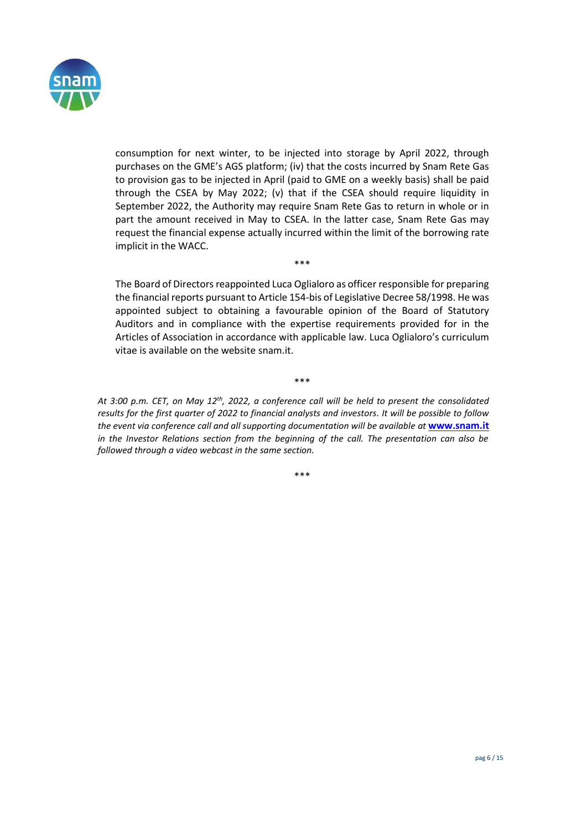

consumption for next winter, to be injected into storage by April 2022, through purchases on the GME's AGS platform; (iv) that the costs incurred by Snam Rete Gas to provision gas to be injected in April (paid to GME on a weekly basis) shall be paid through the CSEA by May 2022; (v) that if the CSEA should require liquidity in September 2022, the Authority may require Snam Rete Gas to return in whole or in part the amount received in May to CSEA. In the latter case, Snam Rete Gas may request the financial expense actually incurred within the limit of the borrowing rate implicit in the WACC.

The Board of Directors reappointed Luca Oglialoro as officer responsible for preparing the financial reports pursuant to Article 154-bis of Legislative Decree 58/1998. He was appointed subject to obtaining a favourable opinion of the Board of Statutory Auditors and in compliance with the expertise requirements provided for in the Articles of Association in accordance with applicable law. Luca Oglialoro's curriculum vitae is available on the website snam.it.

\*\*\*

\*\*\*

*At 3:00 p.m. CET, on May 12th, 2022, a conference call will be held to present the consolidated results for the first quarter of 2022 to financial analysts and investors. It will be possible to follow the event via conference call and all supporting documentation will be available at* **[www.snam.it](http://www.snam.it/)** *in the Investor Relations section from the beginning of the call. The presentation can also be followed through a video webcast in the same section.*

\*\*\*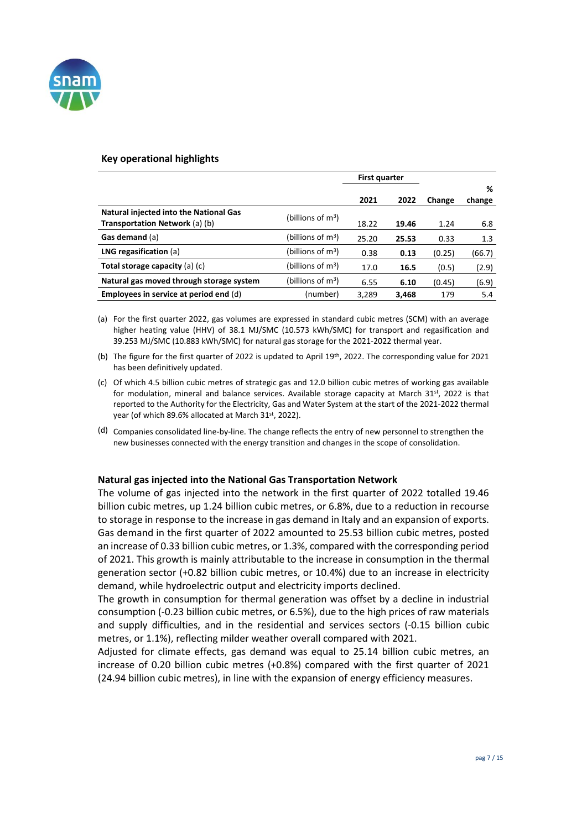

#### **Key operational highlights**

|                                               |                               | First quarter |       |        |        |
|-----------------------------------------------|-------------------------------|---------------|-------|--------|--------|
|                                               |                               |               |       |        | %      |
|                                               |                               | 2021          | 2022  | Change | change |
| <b>Natural injected into the National Gas</b> | (billions of m <sup>3</sup> ) |               |       |        |        |
| Transportation Network (a) (b)                |                               | 18.22         | 19.46 | 1.24   | 6.8    |
| Gas demand (a)                                | (billions of m <sup>3</sup> ) | 25.20         | 25.53 | 0.33   | 1.3    |
| LNG regasification $(a)$                      | (billions of $\mathsf{m}^3$ ) | 0.38          | 0.13  | (0.25) | (66.7) |
| Total storage capacity $(a)$ $(c)$            | (billions of m $^3$ )         | 17.0          | 16.5  | (0.5)  | (2.9)  |
| Natural gas moved through storage system      | (billions of m <sup>3</sup> ) | 6.55          | 6.10  | (0.45) | (6.9)  |
| Employees in service at period end (d)        | (number)                      | 3,289         | 3,468 | 179    | 5.4    |

(a) For the first quarter 2022, gas volumes are expressed in standard cubic metres (SCM) with an average higher heating value (HHV) of 38.1 MJ/SMC (10.573 kWh/SMC) for transport and regasification and 39.253 MJ/SMC (10.883 kWh/SMC) for natural gas storage for the 2021-2022 thermal year.

- (b) The figure for the first quarter of 2022 is updated to April 19<sup>th</sup>, 2022. The corresponding value for 2021 has been definitively updated.
- (c) Of which 4.5 billion cubic metres of strategic gas and 12.0 billion cubic metres of working gas available for modulation, mineral and balance services. Available storage capacity at March 31st, 2022 is that reported to the Authority for the Electricity, Gas and Water System at the start of the 2021-2022 thermal year (of which 89.6% allocated at March 31st, 2022).
- (d) Companies consolidated line-by-line. The change reflects the entry of new personnel to strengthen the new businesses connected with the energy transition and changes in the scope of consolidation.

#### **Natural gas injected into the National Gas Transportation Network**

The volume of gas injected into the network in the first quarter of 2022 totalled 19.46 billion cubic metres, up 1.24 billion cubic metres, or 6.8%, due to a reduction in recourse to storage in response to the increase in gas demand in Italy and an expansion of exports. Gas demand in the first quarter of 2022 amounted to 25.53 billion cubic metres, posted an increase of 0.33 billion cubic metres, or 1.3%, compared with the corresponding period of 2021. This growth is mainly attributable to the increase in consumption in the thermal generation sector (+0.82 billion cubic metres, or 10.4%) due to an increase in electricity demand, while hydroelectric output and electricity imports declined.

The growth in consumption for thermal generation was offset by a decline in industrial consumption (-0.23 billion cubic metres, or 6.5%), due to the high prices of raw materials and supply difficulties, and in the residential and services sectors (-0.15 billion cubic metres, or 1.1%), reflecting milder weather overall compared with 2021.

Adjusted for climate effects, gas demand was equal to 25.14 billion cubic metres, an increase of 0.20 billion cubic metres (+0.8%) compared with the first quarter of 2021 (24.94 billion cubic metres), in line with the expansion of energy efficiency measures.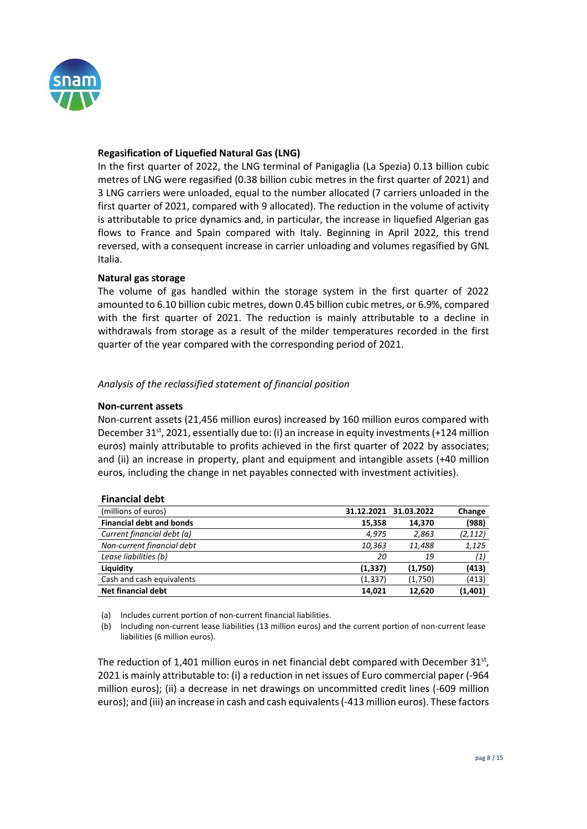

## **Regasification of Liquefied Natural Gas (LNG)**

In the first quarter of 2022, the LNG terminal of Panigaglia (La Spezia) 0.13 billion cubic metres of LNG were regasified (0.38 billion cubic metres in the first quarter of 2021) and 3 LNG carriers were unloaded, equal to the number allocated (7 carriers unloaded in the first quarter of 2021, compared with 9 allocated). The reduction in the volume of activity is attributable to price dynamics and, in particular, the increase in liquefied Algerian gas flows to France and Spain compared with Italy. Beginning in April 2022, this trend reversed, with a consequent increase in carrier unloading and volumes regasified by GNL Italia.

## **Natural gas storage**

The volume of gas handled within the storage system in the first quarter of 2022 amounted to 6.10 billion cubic metres, down 0.45 billion cubic metres, or 6.9%, compared with the first quarter of 2021. The reduction is mainly attributable to a decline in withdrawals from storage as a result of the milder temperatures recorded in the first quarter of the year compared with the corresponding period of 2021.

# *Analysis of the reclassified statement of financial position*

## **Non-current assets**

**Financial debt**

Non-current assets (21,456 million euros) increased by 160 million euros compared with December 31<sup>st</sup>, 2021, essentially due to: (i) an increase in equity investments (+124 million euros) mainly attributable to profits achieved in the first quarter of 2022 by associates; and (ii) an increase in property, plant and equipment and intangible assets (+40 million euros, including the change in net payables connected with investment activities).

| Financial debt                  |            |            |          |
|---------------------------------|------------|------------|----------|
| (millions of euros)             | 31.12.2021 | 31.03.2022 | Change   |
| <b>Financial debt and bonds</b> | 15,358     | 14,370     | (988)    |
| Current financial debt (a)      | 4.975      | 2,863      | (2, 112) |
| Non-current financial debt      | 10,363     | 11,488     | 1,125    |
| Lease liabilities (b)           | 20         | 19         | (1)      |
| Liquidity                       | (1, 337)   | (1,750)    | (413)    |
| Cash and cash equivalents       | (1, 337)   | (1,750)    | (413)    |
| <b>Net financial debt</b>       | 14.021     | 12.620     | (1,401)  |

(a) Includes current portion of non-current financial liabilities.

(b) Including non-current lease liabilities (13 million euros) and the current portion of non-current lease liabilities (6 million euros).

The reduction of 1,401 million euros in net financial debt compared with December  $31^{st}$ , 2021 is mainly attributable to: (i) a reduction in net issues of Euro commercial paper (-964 million euros); (ii) a decrease in net drawings on uncommitted credit lines (-609 million euros); and (iii) an increase in cash and cash equivalents (-413 million euros). These factors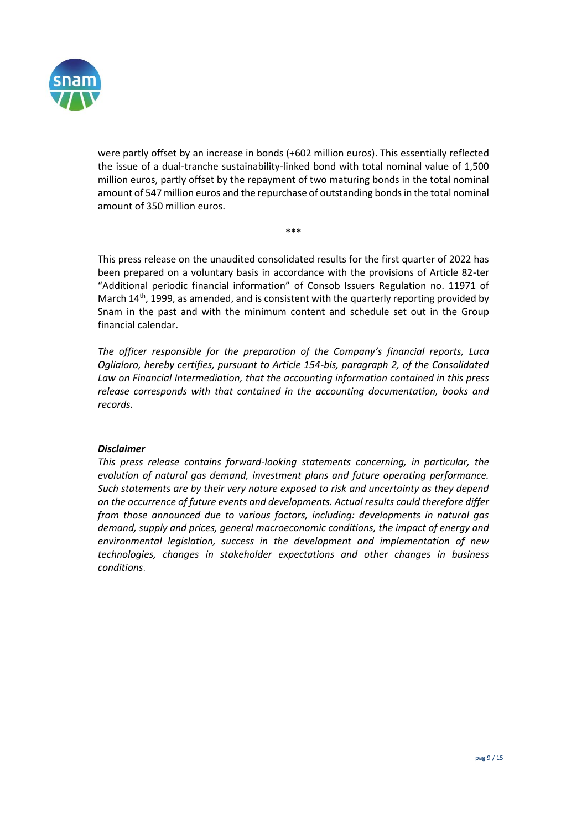

were partly offset by an increase in bonds (+602 million euros). This essentially reflected the issue of a dual-tranche sustainability-linked bond with total nominal value of 1,500 million euros, partly offset by the repayment of two maturing bonds in the total nominal amount of 547 million euros and the repurchase of outstanding bondsin the total nominal amount of 350 million euros.

\*\*\*

This press release on the unaudited consolidated results for the first quarter of 2022 has been prepared on a voluntary basis in accordance with the provisions of Article 82-ter "Additional periodic financial information" of Consob Issuers Regulation no. 11971 of March  $14<sup>th</sup>$ , 1999, as amended, and is consistent with the quarterly reporting provided by Snam in the past and with the minimum content and schedule set out in the Group financial calendar.

*The officer responsible for the preparation of the Company's financial reports, Luca Oglialoro, hereby certifies, pursuant to Article 154-bis, paragraph 2, of the Consolidated Law on Financial Intermediation, that the accounting information contained in this press release corresponds with that contained in the accounting documentation, books and records.* 

## *Disclaimer*

*This press release contains forward-looking statements concerning, in particular, the evolution of natural gas demand, investment plans and future operating performance. Such statements are by their very nature exposed to risk and uncertainty as they depend on the occurrence of future events and developments. Actual results could therefore differ from those announced due to various factors, including: developments in natural gas demand, supply and prices, general macroeconomic conditions, the impact of energy and environmental legislation, success in the development and implementation of new technologies, changes in stakeholder expectations and other changes in business conditions*.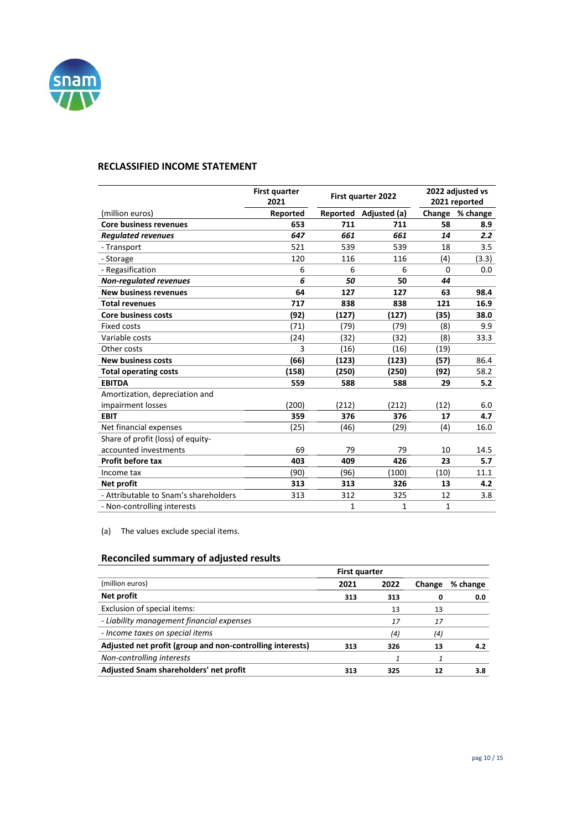

## **RECLASSIFIED INCOME STATEMENT**

|                                       | <b>First quarter</b><br>2021 | First quarter 2022 |                       |          | 2022 adjusted vs<br>2021 reported |
|---------------------------------------|------------------------------|--------------------|-----------------------|----------|-----------------------------------|
| (million euros)                       | Reported                     |                    | Reported Adjusted (a) | Change   | % change                          |
| <b>Core business revenues</b>         | 653                          | 711                | 711                   | 58       | 8.9                               |
| <b>Regulated revenues</b>             | 647                          | 661                | 661                   | 14       | 2.2                               |
| - Transport                           | 521                          | 539                | 539                   | 18       | 3.5                               |
| - Storage                             | 120                          | 116                | 116                   | (4)      | (3.3)                             |
| - Regasification                      | 6                            | 6                  | 6                     | $\Omega$ | 0.0                               |
| <b>Non-regulated revenues</b>         | 6                            | 50                 | 50                    | 44       |                                   |
| <b>New business revenues</b>          | 64                           | 127                | 127                   | 63       | 98.4                              |
| <b>Total revenues</b>                 | 717                          | 838                | 838                   | 121      | 16.9                              |
| <b>Core business costs</b>            | (92)                         | (127)              | (127)                 | (35)     | 38.0                              |
| <b>Fixed costs</b>                    | (71)                         | (79)               | (79)                  | (8)      | 9.9                               |
| Variable costs                        | (24)                         | (32)               | (32)                  | (8)      | 33.3                              |
| Other costs                           | 3                            | (16)               | (16)                  | (19)     |                                   |
| <b>New business costs</b>             | (66)                         | (123)              | (123)                 | (57)     | 86.4                              |
| <b>Total operating costs</b>          | (158)                        | (250)              | (250)                 | (92)     | 58.2                              |
| <b>EBITDA</b>                         | 559                          | 588                | 588                   | 29       | 5.2                               |
| Amortization, depreciation and        |                              |                    |                       |          |                                   |
| impairment losses                     | (200)                        | (212)              | (212)                 | (12)     | 6.0                               |
| <b>EBIT</b>                           | 359                          | 376                | 376                   | 17       | 4.7                               |
| Net financial expenses                | (25)                         | (46)               | (29)                  | (4)      | 16.0                              |
| Share of profit (loss) of equity-     |                              |                    |                       |          |                                   |
| accounted investments                 | 69                           | 79                 | 79                    | 10       | 14.5                              |
| Profit before tax                     | 403                          | 409                | 426                   | 23       | 5.7                               |
| Income tax                            | (90)                         | (96)               | (100)                 | (10)     | 11.1                              |
| Net profit                            | 313                          | 313                | 326                   | 13       | 4.2                               |
| - Attributable to Snam's shareholders | 313                          | 312                | 325                   | 12       | 3.8                               |
| - Non-controlling interests           |                              | 1                  | 1                     | 1        |                                   |

(a) The values exclude special items.

# **Reconciled summary of adjusted results**

|                                                           | First quarter |      |        |          |
|-----------------------------------------------------------|---------------|------|--------|----------|
| (million euros)                                           | 2021          | 2022 | Change | % change |
| Net profit                                                | 313           | 313  |        | 0.0      |
| Exclusion of special items:                               |               | 13   | 13     |          |
| - Liability management financial expenses                 |               | 17   | 17     |          |
| - Income taxes on special items                           |               | (4)  | (4)    |          |
| Adjusted net profit (group and non-controlling interests) | 313           | 326  | 13     | 4.2      |
| Non-controlling interests                                 |               |      |        |          |
| Adjusted Snam shareholders' net profit                    | 313           | 325  | 12     | 3.8      |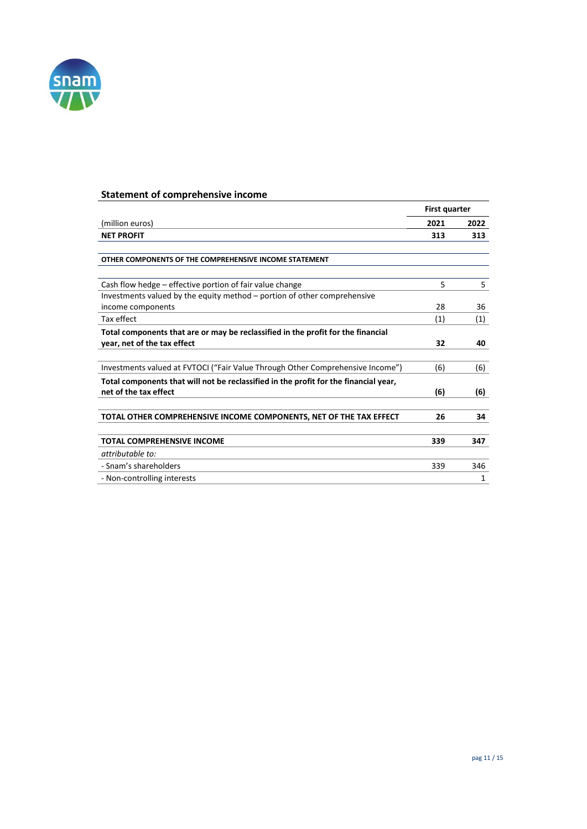

# **Statement of comprehensive income**

|                                                                                      | <b>First quarter</b> |      |
|--------------------------------------------------------------------------------------|----------------------|------|
| (million euros)                                                                      | 2021                 | 2022 |
| <b>NET PROFIT</b>                                                                    | 313                  | 313  |
|                                                                                      |                      |      |
| OTHER COMPONENTS OF THE COMPREHENSIVE INCOME STATEMENT                               |                      |      |
|                                                                                      |                      |      |
| Cash flow hedge – effective portion of fair value change                             | 5                    | 5    |
| Investments valued by the equity method – portion of other comprehensive             |                      |      |
| income components                                                                    | 28                   | 36   |
| Tax effect                                                                           | (1)                  | (1)  |
| Total components that are or may be reclassified in the profit for the financial     |                      |      |
| year, net of the tax effect                                                          | 32                   | 40   |
|                                                                                      |                      |      |
| Investments valued at FVTOCI ("Fair Value Through Other Comprehensive Income")       | (6)                  | (6)  |
| Total components that will not be reclassified in the profit for the financial year, |                      |      |
| net of the tax effect                                                                | (6)                  | (6)  |
|                                                                                      |                      |      |
| TOTAL OTHER COMPREHENSIVE INCOME COMPONENTS, NET OF THE TAX EFFECT                   | 26                   | 34   |
|                                                                                      |                      |      |
| <b>TOTAL COMPREHENSIVE INCOME</b>                                                    | 339                  | 347  |
| attributable to:                                                                     |                      |      |
| - Snam's shareholders                                                                | 339                  | 346  |
| - Non-controlling interests                                                          |                      | 1    |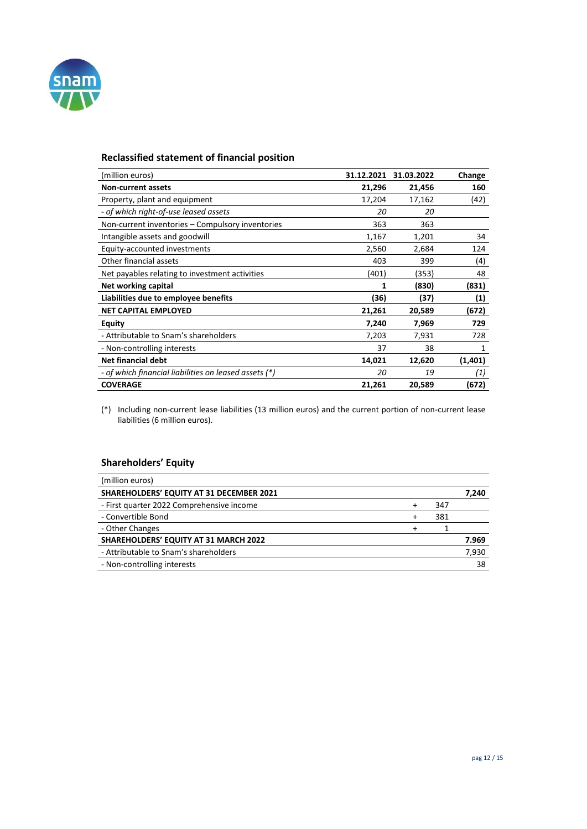

# **Reclassified statement of financial position**

| (million euros)                                       |        | 31.12.2021 31.03.2022 | Change            |
|-------------------------------------------------------|--------|-----------------------|-------------------|
| <b>Non-current assets</b>                             | 21,296 | 21,456                | 160               |
| Property, plant and equipment                         | 17,204 | 17,162                | (42)              |
| - of which right-of-use leased assets                 | 20     | 20                    |                   |
| Non-current inventories - Compulsory inventories      | 363    | 363                   |                   |
| Intangible assets and goodwill                        | 1,167  | 1,201                 | 34                |
| Equity-accounted investments                          | 2,560  | 2,684                 | 124               |
| Other financial assets                                | 403    | 399                   | (4)               |
| Net payables relating to investment activities        | (401)  | (353)                 | 48                |
| Net working capital                                   | 1      | (830)                 | (831)             |
| Liabilities due to employee benefits                  | (36)   | (37)                  | $\left( 1\right)$ |
| <b>NET CAPITAL EMPLOYED</b>                           | 21,261 | 20,589                | (672)             |
| <b>Equity</b>                                         | 7,240  | 7,969                 | 729               |
| - Attributable to Snam's shareholders                 | 7,203  | 7,931                 | 728               |
| - Non-controlling interests                           | 37     | 38                    | 1                 |
| <b>Net financial debt</b>                             | 14,021 | 12,620                | (1,401)           |
| - of which financial liabilities on leased assets (*) | 20     | 19                    | (1)               |
| <b>COVERAGE</b>                                       | 21,261 | 20,589                | (672)             |

(\*) Including non-current lease liabilities (13 million euros) and the current portion of non-current lease liabilities (6 million euros).

# **Shareholders' Equity**

| (million euros)                           |           |     |       |
|-------------------------------------------|-----------|-----|-------|
| SHAREHOLDERS' EQUITY AT 31 DECEMBER 2021  |           |     | 7,240 |
| - First quarter 2022 Comprehensive income | $\ddot{}$ | 347 |       |
| - Convertible Bond                        | $\ddot{}$ | 381 |       |
| - Other Changes                           | $\div$    |     |       |
| SHAREHOLDERS' EQUITY AT 31 MARCH 2022     |           |     | 7.969 |
| - Attributable to Snam's shareholders     |           |     | 7,930 |
| - Non-controlling interests               |           |     | 38    |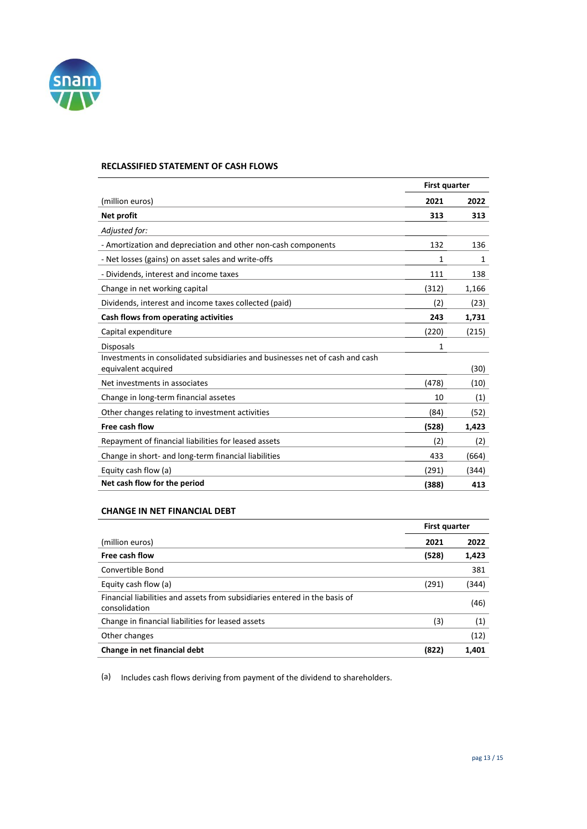

#### **RECLASSIFIED STATEMENT OF CASH FLOWS**

|                                                                                                     | <b>First quarter</b> |       |
|-----------------------------------------------------------------------------------------------------|----------------------|-------|
| (million euros)                                                                                     | 2021                 | 2022  |
| Net profit                                                                                          | 313                  | 313   |
| Adjusted for:                                                                                       |                      |       |
| - Amortization and depreciation and other non-cash components                                       | 132                  | 136   |
| - Net losses (gains) on asset sales and write-offs                                                  | 1                    | 1     |
| - Dividends, interest and income taxes                                                              | 111                  | 138   |
| Change in net working capital                                                                       | (312)                | 1,166 |
| Dividends, interest and income taxes collected (paid)                                               | (2)                  | (23)  |
| Cash flows from operating activities                                                                | 243                  | 1,731 |
| Capital expenditure                                                                                 | (220)                | (215) |
| <b>Disposals</b>                                                                                    | 1                    |       |
| Investments in consolidated subsidiaries and businesses net of cash and cash<br>equivalent acquired |                      | (30)  |
| Net investments in associates                                                                       | (478)                | (10)  |
| Change in long-term financial assetes                                                               | 10                   | (1)   |
| Other changes relating to investment activities                                                     | (84)                 | (52)  |
| <b>Free cash flow</b>                                                                               | (528)                | 1,423 |
| Repayment of financial liabilities for leased assets                                                | (2)                  | (2)   |
| Change in short- and long-term financial liabilities                                                | 433                  | (664) |
| Equity cash flow (a)                                                                                | (291)                | (344) |
| Net cash flow for the period                                                                        | (388)                | 413   |

#### **CHANGE IN NET FINANCIAL DEBT**

|                                                                                             | <b>First quarter</b> |       |
|---------------------------------------------------------------------------------------------|----------------------|-------|
| (million euros)                                                                             | 2021                 | 2022  |
| Free cash flow                                                                              | (528)                | 1,423 |
| Convertible Bond                                                                            |                      | 381   |
| Equity cash flow (a)                                                                        | (291)                | (344) |
| Financial liabilities and assets from subsidiaries entered in the basis of<br>consolidation |                      | (46)  |
| Change in financial liabilities for leased assets                                           | (3)                  | (1)   |
| Other changes                                                                               |                      | (12)  |
| Change in net financial debt                                                                | (822)                | 1,401 |

(a) Includes cash flows deriving from payment of the dividend to shareholders.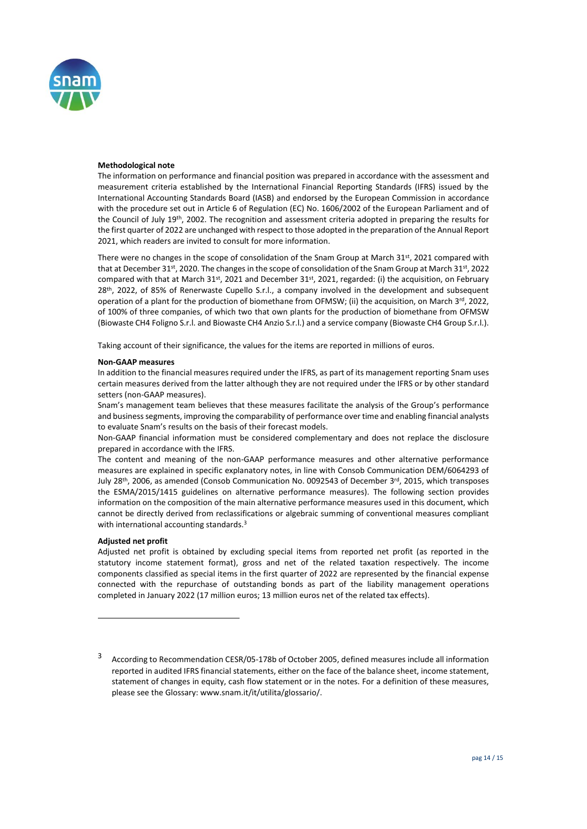

#### **Methodological note**

The information on performance and financial position was prepared in accordance with the assessment and measurement criteria established by the International Financial Reporting Standards (IFRS) issued by the International Accounting Standards Board (IASB) and endorsed by the European Commission in accordance with the procedure set out in Article 6 of Regulation (EC) No. 1606/2002 of the European Parliament and of the Council of July 19<sup>th</sup>, 2002. The recognition and assessment criteria adopted in preparing the results for the first quarter of 2022 are unchanged with respect to those adopted in the preparation of the Annual Report 2021, which readers are invited to consult for more information.

There were no changes in the scope of consolidation of the Snam Group at March 31st, 2021 compared with that at December 31<sup>st</sup>, 2020. The changes in the scope of consolidation of the Snam Group at March 31st, 2022 compared with that at March  $31st$ , 2021 and December  $31st$ , 2021, regarded: (i) the acquisition, on February 28<sup>th</sup>, 2022, of 85% of Renerwaste Cupello S.r.l., a company involved in the development and subsequent operation of a plant for the production of biomethane from OFMSW; (ii) the acquisition, on March 3rd, 2022, of 100% of three companies, of which two that own plants for the production of biomethane from OFMSW (Biowaste CH4 Foligno S.r.l. and Biowaste CH4 Anzio S.r.l.) and a service company (Biowaste CH4 Group S.r.l.).

Taking account of their significance, the values for the items are reported in millions of euros.

#### **Non-GAAP measures**

In addition to the financial measures required under the IFRS, as part of its management reporting Snam uses certain measures derived from the latter although they are not required under the IFRS or by other standard setters (non-GAAP measures).

Snam's management team believes that these measures facilitate the analysis of the Group's performance and business segments, improving the comparability of performance over time and enabling financial analysts to evaluate Snam's results on the basis of their forecast models.

Non-GAAP financial information must be considered complementary and does not replace the disclosure prepared in accordance with the IFRS.

The content and meaning of the non-GAAP performance measures and other alternative performance measures are explained in specific explanatory notes, in line with Consob Communication DEM/6064293 of July 28<sup>th</sup>, 2006, as amended (Consob Communication No. 0092543 of December 3<sup>rd</sup>, 2015, which transposes the ESMA/2015/1415 guidelines on alternative performance measures). The following section provides information on the composition of the main alternative performance measures used in this document, which cannot be directly derived from reclassifications or algebraic summing of conventional measures compliant with international accounting standards.<sup>3</sup>

#### **Adjusted net profit**

 $\overline{a}$ 

Adjusted net profit is obtained by excluding special items from reported net profit (as reported in the statutory income statement format), gross and net of the related taxation respectively. The income components classified as special items in the first quarter of 2022 are represented by the financial expense connected with the repurchase of outstanding bonds as part of the liability management operations completed in January 2022 (17 million euros; 13 million euros net of the related tax effects).

<sup>3</sup> According to Recommendation CESR/05-178b of October 2005, defined measures include all information reported in audited IFRS financial statements, either on the face of the balance sheet, income statement, statement of changes in equity, cash flow statement or in the notes. For a definition of these measures, please see the Glossary: [www.snam.it/it/utilita/glossario/.](http://www.snam.it/it/utilita/glossario/)